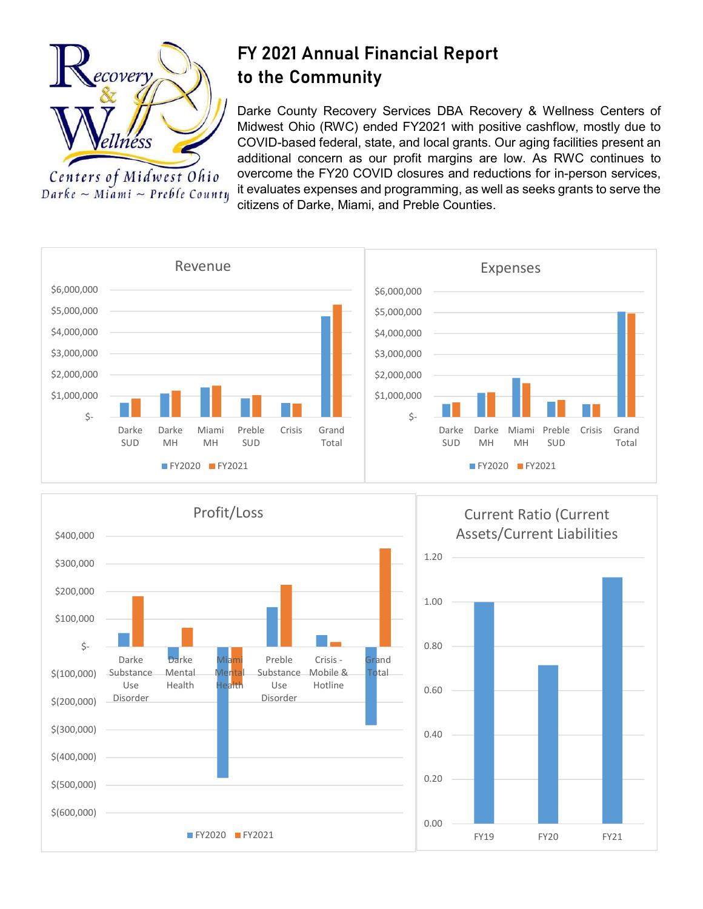

Centers of Midwest Ohio  $Darke \sim Miami \sim Preble County$ 

## FY 2021 Annual Financial Report to the Community

Darke County Recovery Services DBA Recovery & Wellness Centers of Midwest Ohio (RWC) ended FY2021 with positive cashflow, mostly due to COVID-based federal, state, and local grants. Our aging facilities present an additional concern as our profit margins are low. As RWC continues to overcome the FY20 COVID closures and reductions for in-person services, it evaluates expenses and programming, as well as seeks grants to serve the citizens of Darke, Miami, and Preble Counties.







Current Ratio (Current